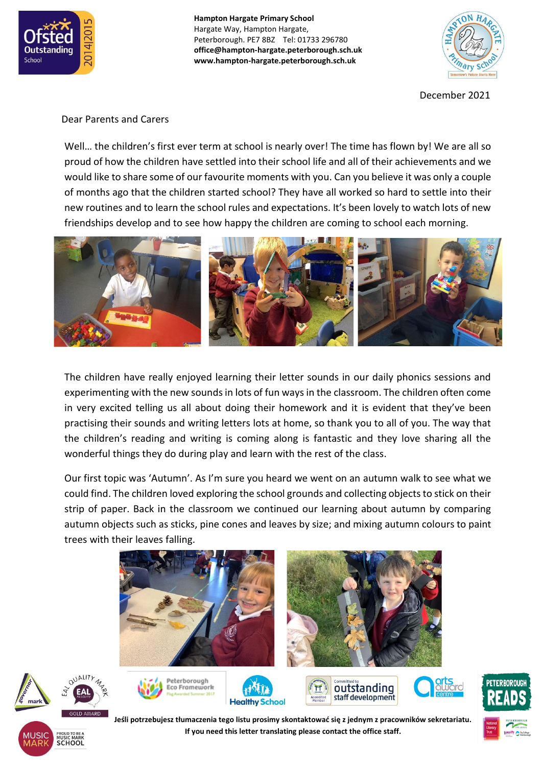

**Hampton Hargate Primary School** Hargate Way, Hampton Hargate, Peterborough. PE7 8BZ Tel: 01733 296780 **office@hampton-hargate.peterborough.sch.uk www.hampton-hargate.peterborough.sch.uk**



December 2021

## Dear Parents and Carers

OUALITY

**SCHOOL** 

Well... the children's first ever term at school is nearly over! The time has flown by! We are all so proud of how the children have settled into their school life and all of their achievements and we would like to share some of our favourite moments with you. Can you believe it was only a couple of months ago that the children started school? They have all worked so hard to settle into their new routines and to learn the school rules and expectations. It's been lovely to watch lots of new friendships develop and to see how happy the children are coming to school each morning.



The children have really enjoyed learning their letter sounds in our daily phonics sessions and experimenting with the new sounds in lots of fun ways in the classroom. The children often come in very excited telling us all about doing their homework and it is evident that they've been practising their sounds and writing letters lots at home, so thank you to all of you. The way that the children's reading and writing is coming along is fantastic and they love sharing all the wonderful things they do during play and learn with the rest of the class.

Our first topic was 'Autumn'. As I'm sure you heard we went on an autumn walk to see what we could find. The children loved exploring the school grounds and collecting objects to stick on their strip of paper. Back in the classroom we continued our learning about autumn by comparing autumn objects such as sticks, pine cones and leaves by size; and mixing autumn colours to paint trees with their leaves falling.





**Jeśli potrzebujesz tłumaczenia tego listu prosimy skontaktować się z jednym z pracowników sekretariatu. If you need this letter translating please contact the office staff.**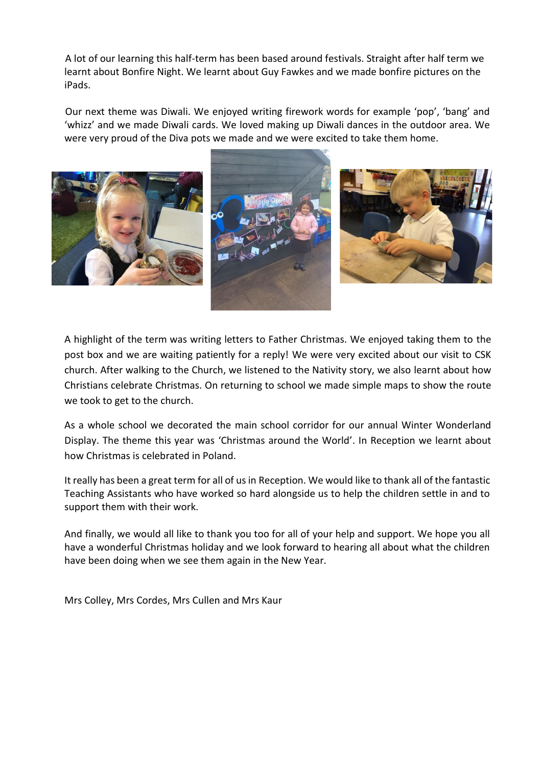A lot of our learning this half-term has been based around festivals. Straight after half term we learnt about Bonfire Night. We learnt about Guy Fawkes and we made bonfire pictures on the iPads.

Our next theme was Diwali. We enjoyed writing firework words for example 'pop', 'bang' and 'whizz' and we made Diwali cards. We loved making up Diwali dances in the outdoor area. We were very proud of the Diva pots we made and we were excited to take them home.



A highlight of the term was writing letters to Father Christmas. We enjoyed taking them to the post box and we are waiting patiently for a reply! We were very excited about our visit to CSK church. After walking to the Church, we listened to the Nativity story, we also learnt about how Christians celebrate Christmas. On returning to school we made simple maps to show the route we took to get to the church.

As a whole school we decorated the main school corridor for our annual Winter Wonderland Display. The theme this year was 'Christmas around the World'. In Reception we learnt about how Christmas is celebrated in Poland.

It really has been a great term for all of us in Reception. We would like to thank all of the fantastic Teaching Assistants who have worked so hard alongside us to help the children settle in and to support them with their work.

And finally, we would all like to thank you too for all of your help and support. We hope you all have a wonderful Christmas holiday and we look forward to hearing all about what the children have been doing when we see them again in the New Year.

Mrs Colley, Mrs Cordes, Mrs Cullen and Mrs Kaur